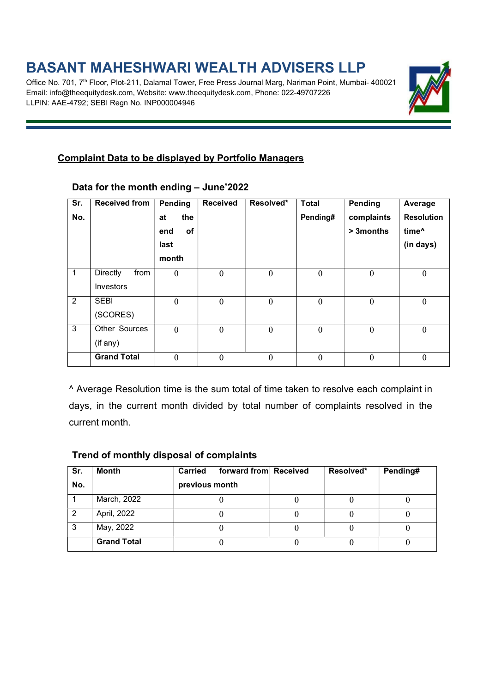## BASANT MAHESHWARI WEALTH ADVISERS LLP

Office No. 701, 7<sup>th</sup> Floor, Plot-211, Dalamal Tower, Free Press Journal Marg, Nariman Point, Mumbai- 400021 Email: info@theequitydesk.com, Website: www.theequitydesk.com, Phone: 022-49707226 LLPIN: AAE-4792; SEBI Regn No. INP000004946



## Complaint Data to be displayed by Portfolio Managers

| Sr.          | <b>Received from</b>    | Pending        | <b>Received</b>  | Resolved*        | <b>Total</b>     | Pending          | Average           |  |
|--------------|-------------------------|----------------|------------------|------------------|------------------|------------------|-------------------|--|
| No.          |                         | the<br>at      |                  |                  | Pending#         | complaints       | <b>Resolution</b> |  |
|              |                         | of<br>end      |                  |                  |                  | > 3 months       | time <sup>^</sup> |  |
|              |                         | last           |                  |                  |                  |                  | (in days)         |  |
|              |                         | month          |                  |                  |                  |                  |                   |  |
| $\mathbf{1}$ | <b>Directly</b><br>from | $\mathbf{0}$   | $\boldsymbol{0}$ | $\boldsymbol{0}$ | $\boldsymbol{0}$ | $\boldsymbol{0}$ | $\boldsymbol{0}$  |  |
|              | Investors               |                |                  |                  |                  |                  |                   |  |
| 2            | <b>SEBI</b>             | $\mathbf{0}$   | $\mathbf{0}$     | $\mathbf{0}$     | $\boldsymbol{0}$ | $\overline{0}$   | $\mathbf{0}$      |  |
|              | (SCORES)                |                |                  |                  |                  |                  |                   |  |
| 3            | Other Sources           | $\overline{0}$ | $\overline{0}$   | $\mathbf{0}$     | $\boldsymbol{0}$ | $\theta$         | $\mathbf{0}$      |  |
|              | (if any)                |                |                  |                  |                  |                  |                   |  |
|              | <b>Grand Total</b>      | $\mathbf{0}$   | $\mathbf{0}$     | $\overline{0}$   | $\boldsymbol{0}$ | $\boldsymbol{0}$ | $\mathbf{0}$      |  |
|              |                         |                |                  |                  |                  |                  |                   |  |

#### Data for the month ending – June'2022

^ Average Resolution time is the sum total of time taken to resolve each complaint in days, in the current month divided by total number of complaints resolved in the current month.

#### Trend of monthly disposal of complaints

| Sr. | <b>Month</b>       | forward from Received<br><b>Carried</b> | Resolved* | Pending# |
|-----|--------------------|-----------------------------------------|-----------|----------|
| No. |                    | previous month                          |           |          |
|     | March, 2022        |                                         |           |          |
|     | April, 2022        |                                         |           |          |
|     | May, 2022          |                                         |           |          |
|     | <b>Grand Total</b> |                                         |           |          |